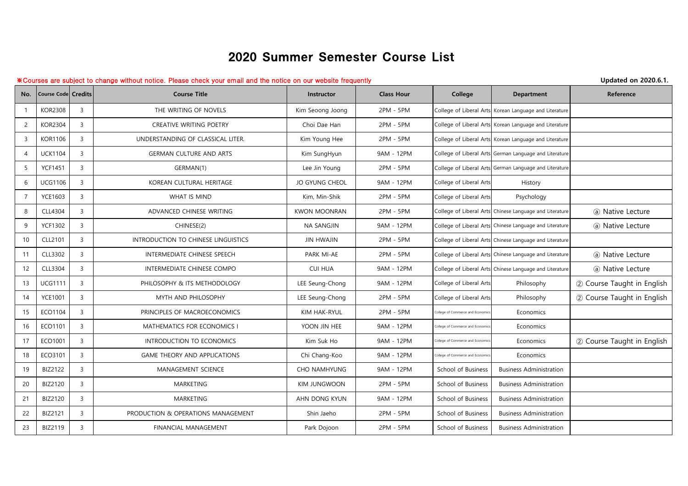## 2020 Summer Semester Course List

## ※Courses are subject to change without notice. Please check your email and the notice on our website frequently **Updated on 2020.6.1.**

| No.            | <b>Course Code Credits</b> |                | <b>Course Title</b>                 | Instructor            | <b>Class Hour</b> | College                           | <b>Department</b>                                       | Reference                  |
|----------------|----------------------------|----------------|-------------------------------------|-----------------------|-------------------|-----------------------------------|---------------------------------------------------------|----------------------------|
|                | <b>KOR2308</b>             | $\overline{3}$ | THE WRITING OF NOVELS               | Kim Seoong Joong      | 2PM - 5PM         |                                   | College of Liberal Arts Korean Language and Literature  |                            |
| 2              | <b>KOR2304</b>             | $\overline{3}$ | CREATIVE WRITING POETRY             | Choi Dae Han          | 2PM - 5PM         |                                   | College of Liberal Arts Korean Language and Literature  |                            |
| 3              | <b>KOR1106</b>             | $\overline{3}$ | UNDERSTANDING OF CLASSICAL LITER.   | Kim Young Hee         | 2PM - 5PM         |                                   | College of Liberal Arts Korean Language and Literature  |                            |
| $\overline{4}$ | <b>UCK1104</b>             | $\overline{3}$ | <b>GERMAN CULTURE AND ARTS</b>      | Kim SungHyun          | 9AM - 12PM        |                                   | College of Liberal Arts German Language and Literature  |                            |
| 5              | <b>YCF1451</b>             | $\overline{3}$ | GERMAN(1)                           | Lee Jin Young         | 2PM - 5PM         |                                   | College of Liberal Arts German Language and Literature  |                            |
| 6              | <b>UCG1106</b>             | $\overline{3}$ | KOREAN CULTURAL HERITAGE            | <b>JO GYUNG CHEOL</b> | 9AM - 12PM        | College of Liberal Arts           | History                                                 |                            |
| $\overline{7}$ | <b>YCE1603</b>             | $\overline{3}$ | WHAT IS MIND                        | Kim, Min-Shik         | 2PM - 5PM         | College of Liberal Arts           | Psychology                                              |                            |
| 8              | CLL4304                    | $\overline{3}$ | ADVANCED CHINESE WRITING            | <b>KWON MOONRAN</b>   | 2PM - 5PM         |                                   | College of Liberal Arts Chinese Language and Literature | (a) Native Lecture         |
| 9              | <b>YCF1302</b>             | $\overline{3}$ | CHINESE(2)                          | <b>NA SANGJIN</b>     | 9AM - 12PM        |                                   | College of Liberal Arts Chinese Language and Literature | (a) Native Lecture         |
| 10             | CLL2101                    | $\overline{3}$ | INTRODUCTION TO CHINESE LINGUISTICS | <b>JIN HWAJIN</b>     | 2PM - 5PM         |                                   | College of Liberal Arts Chinese Language and Literature |                            |
| 11             | CLL3302                    | $\overline{3}$ | INTERMEDIATE CHINESE SPEECH         | PARK MI-AE            | 2PM - 5PM         |                                   | College of Liberal Arts Chinese Language and Literature | (a) Native Lecture         |
| 12             | CLL3304                    | 3              | INTERMEDIATE CHINESE COMPO          | <b>CUI HUA</b>        | 9AM - 12PM        |                                   | College of Liberal Arts Chinese Language and Literature | (a) Native Lecture         |
| 13             | <b>UCG1111</b>             | $\overline{3}$ | PHILOSOPHY & ITS METHODOLOGY        | LEE Seung-Chong       | 9AM - 12PM        | College of Liberal Arts           | Philosophy                                              | 2 Course Taught in English |
| 14             | <b>YCE1001</b>             | $\overline{3}$ | MYTH AND PHILOSOPHY                 | LEE Seung-Chong       | 2PM - 5PM         | College of Liberal Arts           | Philosophy                                              | 2 Course Taught in English |
| 15             | ECO1104                    | $\overline{3}$ | PRINCIPLES OF MACROECONOMICS        | KIM HAK-RYUL          | 2PM - 5PM         | College of Commerce and Economics | Economics                                               |                            |
| 16             | ECO1101                    | $\overline{3}$ | MATHEMATICS FOR ECONOMICS I         | YOON JIN HEE          | 9AM - 12PM        | College of Commerce and Economic  | Economics                                               |                            |
| 17             | ECO1001                    | $\overline{3}$ | INTRODUCTION TO ECONOMICS           | Kim Suk Ho            | 9AM - 12PM        | College of Commerce and Economic  | Economics                                               | 2 Course Taught in English |
| 18             | ECO3101                    | $\overline{3}$ | <b>GAME THEORY AND APPLICATIONS</b> | Chi Chang-Koo         | 9AM - 12PM        | College of Commerce and Economic  | Economics                                               |                            |
| 19             | BIZ2122                    | $\overline{3}$ | <b>MANAGEMENT SCIENCE</b>           | <b>CHO NAMHYUNG</b>   | 9AM - 12PM        | School of Business                | <b>Business Administration</b>                          |                            |
| 20             | BIZ2120                    | $\overline{3}$ | MARKETING                           | KIM JUNGWOON          | 2PM - 5PM         | School of Business                | <b>Business Administration</b>                          |                            |
| 21             | <b>BIZ2120</b>             | $\overline{3}$ | MARKETING                           | AHN DONG KYUN         | 9AM - 12PM        | School of Business                | <b>Business Administration</b>                          |                            |
| 22             | <b>BIZ2121</b>             | $\overline{3}$ | PRODUCTION & OPERATIONS MANAGEMENT  | Shin Jaeho            | 2PM - 5PM         | School of Business                | <b>Business Administration</b>                          |                            |
| 23             | BIZ2119                    | $\overline{3}$ | <b>FINANCIAL MANAGEMENT</b>         | Park Dojoon           | 2PM - 5PM         | School of Business                | <b>Business Administration</b>                          |                            |